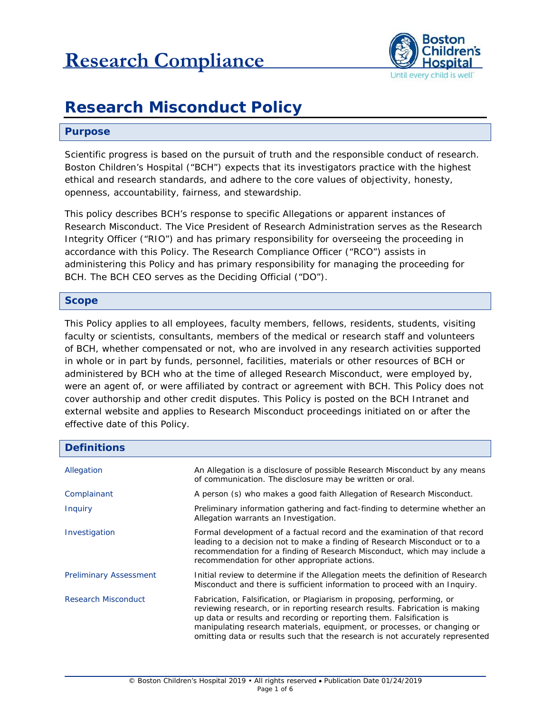

# **Research Misconduct Policy**

#### **Purpose**

Scientific progress is based on the pursuit of truth and the responsible conduct of research. Boston Children's Hospital ("BCH") expects that its investigators practice with the highest ethical and research standards, and adhere to the core values of objectivity, honesty, openness, accountability, fairness, and stewardship.

This policy describes BCH's response to specific Allegations or apparent instances of Research Misconduct. The Vice President of Research Administration serves as the Research Integrity Officer ("RIO") and has primary responsibility for overseeing the proceeding in accordance with this Policy. The Research Compliance Officer ("RCO") assists in administering this Policy and has primary responsibility for managing the proceeding for BCH. The BCH CEO serves as the Deciding Official ("DO").

#### **Scope**

This Policy applies to all employees, faculty members, fellows, residents, students, visiting faculty or scientists, consultants, members of the medical or research staff and volunteers of BCH, whether compensated or not, who are involved in any research activities supported in whole or in part by funds, personnel, facilities, materials or other resources of BCH or administered by BCH who at the time of alleged Research Misconduct, were employed by, were an agent of, or were affiliated by contract or agreement with BCH. This Policy does not cover authorship and other credit disputes. This Policy is posted on the BCH Intranet and external website and applies to Research Misconduct proceedings initiated on or after the effective date of this Policy.

| <b>Definitions</b>            |                                                                                                                                                                                                                                                                                                                                                                                            |  |
|-------------------------------|--------------------------------------------------------------------------------------------------------------------------------------------------------------------------------------------------------------------------------------------------------------------------------------------------------------------------------------------------------------------------------------------|--|
| Allegation                    | An Allegation is a disclosure of possible Research Misconduct by any means<br>of communication. The disclosure may be written or oral.                                                                                                                                                                                                                                                     |  |
| Complainant                   | A person (s) who makes a good faith Allegation of Research Misconduct.                                                                                                                                                                                                                                                                                                                     |  |
| <i>Inquiry</i>                | Preliminary information gathering and fact-finding to determine whether an<br>Allegation warrants an Investigation.                                                                                                                                                                                                                                                                        |  |
| Investigation                 | Formal development of a factual record and the examination of that record<br>leading to a decision not to make a finding of Research Misconduct or to a<br>recommendation for a finding of Research Misconduct, which may include a<br>recommendation for other appropriate actions.                                                                                                       |  |
| <b>Preliminary Assessment</b> | Initial review to determine if the Allegation meets the definition of Research<br>Misconduct and there is sufficient information to proceed with an Inquiry.                                                                                                                                                                                                                               |  |
| <b>Research Misconduct</b>    | Fabrication, Falsification, or Plagiarism in proposing, performing, or<br>reviewing research, or in reporting research results. Fabrication is making<br>up data or results and recording or reporting them. Falsification is<br>manipulating research materials, equipment, or processes, or changing or<br>omitting data or results such that the research is not accurately represented |  |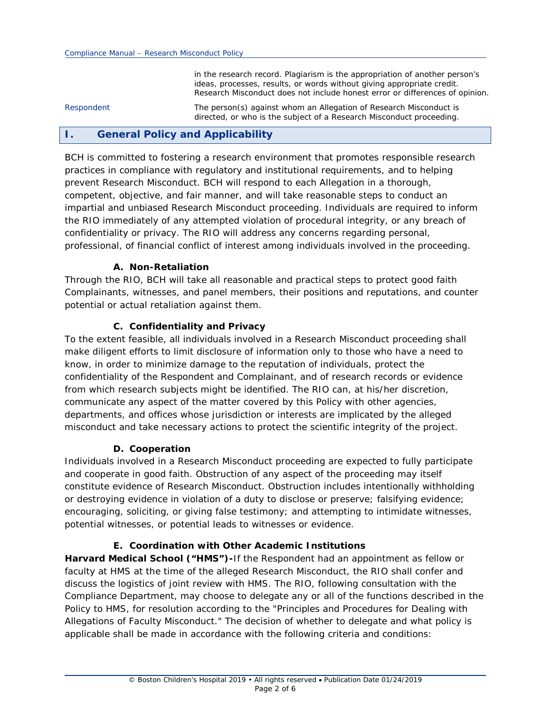in the research record. Plagiarism is the appropriation of another person's ideas, processes, results, or words without giving appropriate credit. Research Misconduct does not include honest error or differences of opinion.

*Respondent* The person(s) against whom an Allegation of Research Misconduct is directed, or who is the subject of a Research Misconduct proceeding.

# **I. General Policy and Applicability**

BCH is committed to fostering a research environment that promotes responsible research practices in compliance with regulatory and institutional requirements, and to helping prevent Research Misconduct. BCH will respond to each Allegation in a thorough, competent, objective, and fair manner, and will take reasonable steps to conduct an impartial and unbiased Research Misconduct proceeding. Individuals are required to inform the RIO immediately of any attempted violation of procedural integrity, or any breach of confidentiality or privacy. The RIO will address any concerns regarding personal, professional, of financial conflict of interest among individuals involved in the proceeding.

#### **A. Non-Retaliation**

Through the RIO, BCH will take all reasonable and practical steps to protect good faith Complainants, witnesses, and panel members, their positions and reputations, and counter potential or actual retaliation against them.

#### **C. Confidentiality and Privacy**

To the extent feasible, all individuals involved in a Research Misconduct proceeding shall make diligent efforts to limit disclosure of information only to those who have a need to know, in order to minimize damage to the reputation of individuals, protect the confidentiality of the Respondent and Complainant, and of research records or evidence from which research subjects might be identified. The RIO can, at his/her discretion, communicate any aspect of the matter covered by this Policy with other agencies, departments, and offices whose jurisdiction or interests are implicated by the alleged misconduct and take necessary actions to protect the scientific integrity of the project.

#### **D. Cooperation**

Individuals involved in a Research Misconduct proceeding are expected to fully participate and cooperate in good faith. Obstruction of any aspect of the proceeding may itself constitute evidence of Research Misconduct. Obstruction includes intentionally withholding or destroying evidence in violation of a duty to disclose or preserve; falsifying evidence; encouraging, soliciting, or giving false testimony; and attempting to intimidate witnesses, potential witnesses, or potential leads to witnesses or evidence.

#### **E. Coordination with Other Academic Institutions**

**Harvard Medical School ("HMS")-**If the Respondent had an appointment as fellow or faculty at HMS at the time of the alleged Research Misconduct, the RIO shall confer and discuss the logistics of joint review with HMS. The RIO, following consultation with the Compliance Department, may choose to delegate any or all of the functions described in the Policy to HMS, for resolution according to the "Principles and Procedures for Dealing with Allegations of Faculty Misconduct." The decision of whether to delegate and what policy is applicable shall be made in accordance with the following criteria and conditions: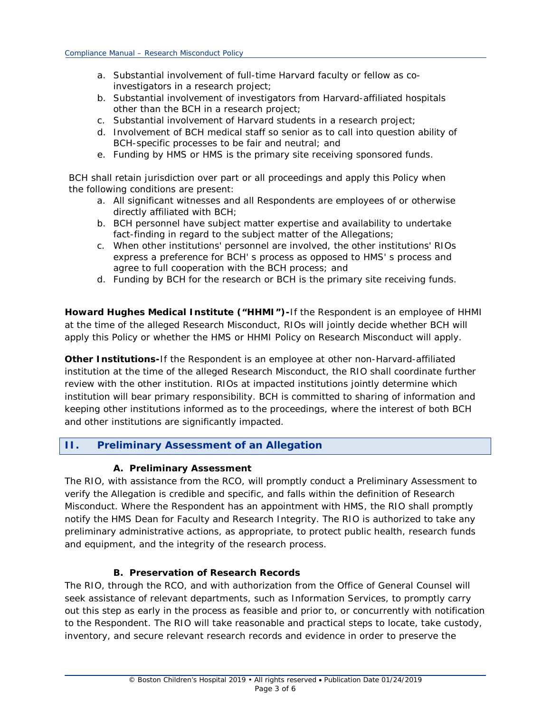- a. Substantial involvement of full-time Harvard faculty or fellow as coinvestigators in a research project;
- b. Substantial involvement of investigators from Harvard-affiliated hospitals other than the BCH in a research project;
- c. Substantial involvement of Harvard students in a research project;
- d. Involvement of BCH medical staff so senior as to call into question ability of BCH-specific processes to be fair and neutral; and
- e. Funding by HMS or HMS is the primary site receiving sponsored funds.

BCH shall retain jurisdiction over part or all proceedings and apply this Policy when the following conditions are present:

- a. All significant witnesses and all Respondents are employees of or otherwise directly affiliated with BCH;
- b. BCH personnel have subject matter expertise and availability to undertake fact-finding in regard to the subject matter of the Allegations;
- c. When other institutions' personnel are involved, the other institutions' RIOs express a preference for BCH' s process as opposed to HMS' s process and agree to full cooperation with the BCH process; and
- d. Funding by BCH for the research or BCH is the primary site receiving funds.

**Howard Hughes Medical Institute ("HHMI")-**If the Respondent is an employee of HHMI at the time of the alleged Research Misconduct, RIOs will jointly decide whether BCH will apply this Policy or whether the HMS or HHMI Policy on Research Misconduct will apply.

**Other Institutions-**If the Respondent is an employee at other non-Harvard-affiliated institution at the time of the alleged Research Misconduct, the RIO shall coordinate further review with the other institution. RIOs at impacted institutions jointly determine which institution will bear primary responsibility. BCH is committed to sharing of information and keeping other institutions informed as to the proceedings, where the interest of both BCH and other institutions are significantly impacted.

# **II. Preliminary Assessment of an Allegation**

#### **A. Preliminary Assessment**

The RIO, with assistance from the RCO, will promptly conduct a Preliminary Assessment to verify the Allegation is credible and specific, and falls within the definition of Research Misconduct. Where the Respondent has an appointment with HMS, the RIO shall promptly notify the HMS Dean for Faculty and Research Integrity. The RIO is authorized to take any preliminary administrative actions, as appropriate, to protect public health, research funds and equipment, and the integrity of the research process.

#### **B. Preservation of Research Records**

The RIO, through the RCO, and with authorization from the Office of General Counsel will seek assistance of relevant departments, such as Information Services, to promptly carry out this step as early in the process as feasible and prior to, or concurrently with notification to the Respondent. The RIO will take reasonable and practical steps to locate, take custody, inventory, and secure relevant research records and evidence in order to preserve the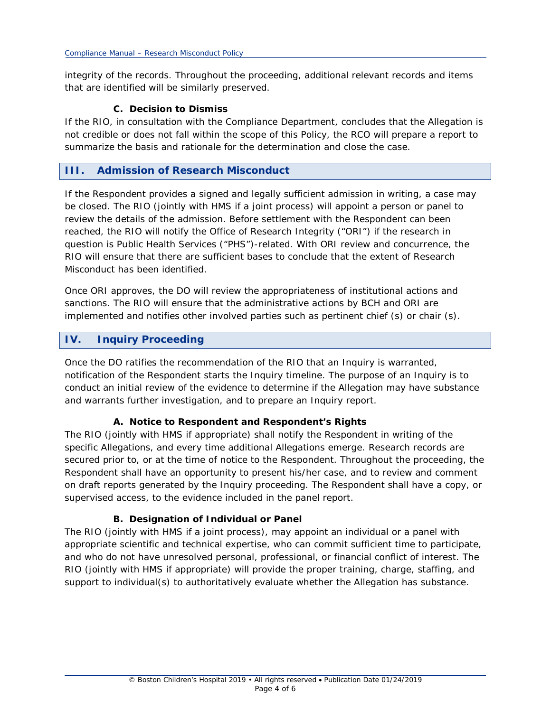integrity of the records. Throughout the proceeding, additional relevant records and items that are identified will be similarly preserved.

## **C. Decision to Dismiss**

If the RIO, in consultation with the Compliance Department, concludes that the Allegation is not credible or does not fall within the scope of this Policy, the RCO will prepare a report to summarize the basis and rationale for the determination and close the case.

# **III. Admission of Research Misconduct**

If the Respondent provides a signed and legally sufficient admission in writing, a case may be closed. The RIO (jointly with HMS if a joint process) will appoint a person or panel to review the details of the admission. Before settlement with the Respondent can been reached, the RIO will notify the Office of Research Integrity ("ORI") if the research in question is Public Health Services ("PHS")-related. With ORI review and concurrence, the RIO will ensure that there are sufficient bases to conclude that the extent of Research Misconduct has been identified.

Once ORI approves, the DO will review the appropriateness of institutional actions and sanctions. The RIO will ensure that the administrative actions by BCH and ORI are implemented and notifies other involved parties such as pertinent chief (s) or chair (s).

# **IV. Inquiry Proceeding**

Once the DO ratifies the recommendation of the RIO that an Inquiry is warranted, notification of the Respondent starts the Inquiry timeline. The purpose of an Inquiry is to conduct an initial review of the evidence to determine if the Allegation may have substance and warrants further investigation, and to prepare an Inquiry report.

## **A. Notice to Respondent and Respondent's Rights**

The RIO (jointly with HMS if appropriate) shall notify the Respondent in writing of the specific Allegations, and every time additional Allegations emerge. Research records are secured prior to, or at the time of notice to the Respondent. Throughout the proceeding, the Respondent shall have an opportunity to present his/her case, and to review and comment on draft reports generated by the Inquiry proceeding. The Respondent shall have a copy, or supervised access, to the evidence included in the panel report.

## **B. Designation of Individual or Panel**

The RIO (jointly with HMS if a joint process), may appoint an individual or a panel with appropriate scientific and technical expertise, who can commit sufficient time to participate, and who do not have unresolved personal, professional, or financial conflict of interest. The RIO (jointly with HMS if appropriate) will provide the proper training, charge, staffing, and support to individual(s) to authoritatively evaluate whether the Allegation has substance.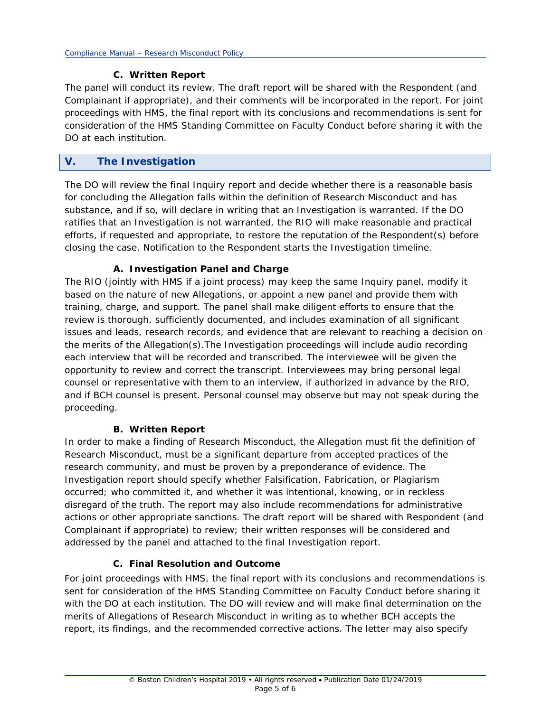#### **C. Written Report**

The panel will conduct its review. The draft report will be shared with the Respondent (and Complainant if appropriate), and their comments will be incorporated in the report. For joint proceedings with HMS, the final report with its conclusions and recommendations is sent for consideration of the HMS Standing Committee on Faculty Conduct before sharing it with the DO at each institution.

# **V. The Investigation**

The DO will review the final Inquiry report and decide whether there is a reasonable basis for concluding the Allegation falls within the definition of Research Misconduct and has substance, and if so, will declare in writing that an Investigation is warranted. If the DO ratifies that an Investigation is not warranted, the RIO will make reasonable and practical efforts, if requested and appropriate, to restore the reputation of the Respondent(s) before closing the case. Notification to the Respondent starts the Investigation timeline.

## **A. Investigation Panel and Charge**

The RIO (jointly with HMS if a joint process) may keep the same Inquiry panel, modify it based on the nature of new Allegations, or appoint a new panel and provide them with training, charge, and support. The panel shall make diligent efforts to ensure that the review is thorough, sufficiently documented, and includes examination of all significant issues and leads, research records, and evidence that are relevant to reaching a decision on the merits of the Allegation(s).The Investigation proceedings will include audio recording each interview that will be recorded and transcribed. The interviewee will be given the opportunity to review and correct the transcript. Interviewees may bring personal legal counsel or representative with them to an interview, if authorized in advance by the RIO, and if BCH counsel is present. Personal counsel may observe but may not speak during the proceeding.

## **B. Written Report**

In order to make a finding of Research Misconduct, the Allegation must fit the definition of Research Misconduct, must be a significant departure from accepted practices of the research community, and must be proven by a preponderance of evidence. The Investigation report should specify whether Falsification, Fabrication, or Plagiarism occurred; who committed it, and whether it was intentional, knowing, or in reckless disregard of the truth. The report may also include recommendations for administrative actions or other appropriate sanctions. The draft report will be shared with Respondent (and Complainant if appropriate) to review; their written responses will be considered and addressed by the panel and attached to the final Investigation report.

## **C. Final Resolution and Outcome**

For joint proceedings with HMS, the final report with its conclusions and recommendations is sent for consideration of the HMS Standing Committee on Faculty Conduct before sharing it with the DO at each institution. The DO will review and will make final determination on the merits of Allegations of Research Misconduct in writing as to whether BCH accepts the report, its findings, and the recommended corrective actions. The letter may also specify